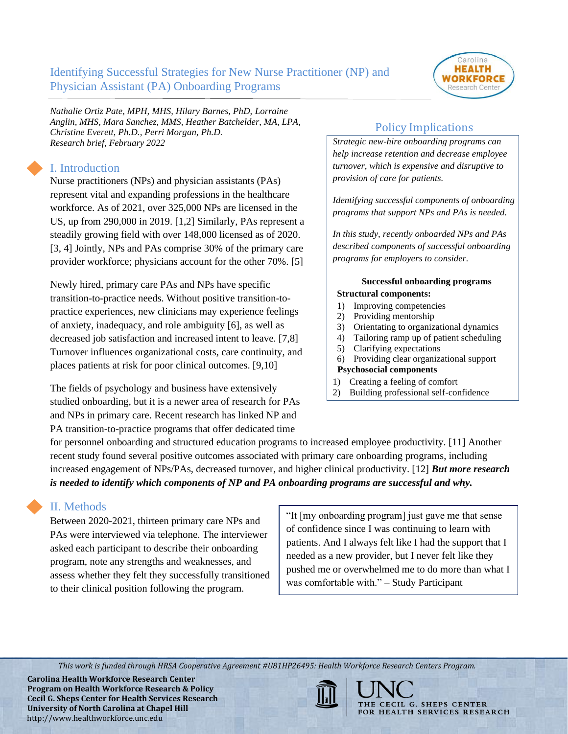## Identifying Successful Strategies for New Nurse Practitioner (NP) and Physician Assistant (PA) Onboarding Programs



*Nathalie Ortiz Pate, MPH, MHS, Hilary Barnes, PhD, Lorraine Anglin, MHS, Mara Sanchez, MMS, Heather Batchelder, MA, LPA, Christine Everett, Ph.D., Perri Morgan, Ph.D. Research brief, February 2022*

# I. Introduction

Nurse practitioners (NPs) and physician assistants (PAs) represent vital and expanding professions in the healthcare workforce. As of 2021, over 325,000 NPs are licensed in the US, up from 290,000 in 2019. [1,2] Similarly, PAs represent a steadily growing field with over 148,000 licensed as of 2020. [3, 4] Jointly, NPs and PAs comprise 30% of the primary care provider workforce; physicians account for the other 70%. [5]

Newly hired, primary care PAs and NPs have specific transition-to-practice needs. Without positive transition-topractice experiences, new clinicians may experience feelings of anxiety, inadequacy, and role ambiguity [6], as well as decreased job satisfaction and increased intent to leave. [7,8] Turnover influences organizational costs, care continuity, and places patients at risk for poor clinical outcomes. [9,10]

The fields of psychology and business have extensively studied onboarding, but it is a newer area of research for PAs and NPs in primary care. Recent research has linked NP and PA transition-to-practice programs that offer dedicated time

# Policy Implications

*Strategic new-hire onboarding programs can help increase retention and decrease employee turnover, which is expensive and disruptive to provision of care for patients.*

*Identifying successful components of onboarding programs that support NPs and PAs is needed.*

*In this study, recently onboarded NPs and PAs described components of successful onboarding programs for employers to consider.*

#### **Successful onboarding programs Structural components:**

- 1) Improving competencies
- 2) Providing mentorship
- 3) Orientating to organizational dynamics
- 4) Tailoring ramp up of patient scheduling
- 5) Clarifying expectations
- 6) Providing clear organizational support

### **Psychosocial components**

- 1) Creating a feeling of comfort
- 2) Building professional self-confidence

for personnel onboarding and structured education programs to increased employee productivity. [11] Another recent study found several positive outcomes associated with primary care onboarding programs, including increased engagement of NPs/PAs, decreased turnover, and higher clinical productivity. [12] *But more research is needed to identify which components of NP and PA onboarding programs are successful and why.*

## II. Methods

Between 2020-2021, thirteen primary care NPs and PAs were interviewed via telephone. The interviewer asked each participant to describe their onboarding program, note any strengths and weaknesses, and assess whether they felt they successfully transitioned to their clinical position following the program.

"It [my onboarding program] just gave me that sense of confidence since I was continuing to learn with patients. And I always felt like I had the support that I needed as a new provider, but I never felt like they pushed me or overwhelmed me to do more than what I was comfortable with." – Study Participant

> THE CECIL G. SHEPS CENTER FOR HEALTH SERVICES RESEARCH

*This work is funded through HRSA Cooperative Agreement #U81HP26495: Health Workforce Research Centers Program.*

**Carolina Health Workforce Research Center Program on Health Workforce Research & Policy Cecil G. Sheps Center for Health Services Research University of North Carolina at Chapel Hill** http://www.healthworkforce.unc.edu

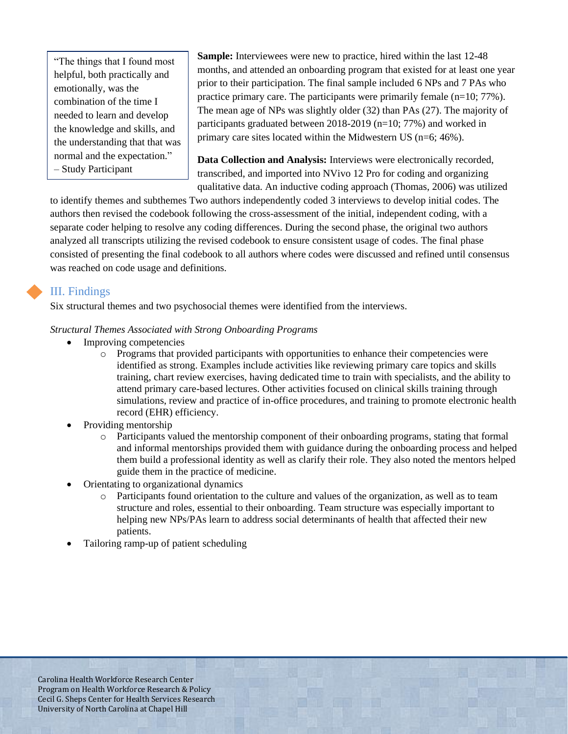"The things that I found most helpful, both practically and emotionally, was the combination of the time I needed to learn and develop the knowledge and skills, and the understanding that that was normal and the expectation." – Study Participant

**Sample:** Interviewees were new to practice, hired within the last 12-48 months, and attended an onboarding program that existed for at least one year prior to their participation. The final sample included 6 NPs and 7 PAs who practice primary care. The participants were primarily female (n=10; 77%). The mean age of NPs was slightly older (32) than PAs (27). The majority of participants graduated between 2018-2019 (n=10; 77%) and worked in primary care sites located within the Midwestern US (n=6; 46%).

**Data Collection and Analysis:** Interviews were electronically recorded, transcribed, and imported into NVivo 12 Pro for coding and organizing qualitative data. An inductive coding approach (Thomas, 2006) was utilized

to identify themes and subthemes Two authors independently coded 3 interviews to develop initial codes. The authors then revised the codebook following the cross-assessment of the initial, independent coding, with a separate coder helping to resolve any coding differences. During the second phase, the original two authors analyzed all transcripts utilizing the revised codebook to ensure consistent usage of codes. The final phase consisted of presenting the final codebook to all authors where codes were discussed and refined until consensus was reached on code usage and definitions.

## III. Findings

Six structural themes and two psychosocial themes were identified from the interviews.

#### *Structural Themes Associated with Strong Onboarding Programs*

- Improving competencies
	- o Programs that provided participants with opportunities to enhance their competencies were identified as strong. Examples include activities like reviewing primary care topics and skills training, chart review exercises, having dedicated time to train with specialists, and the ability to attend primary care-based lectures. Other activities focused on clinical skills training through simulations, review and practice of in-office procedures, and training to promote electronic health record (EHR) efficiency.
- Providing mentorship
	- o Participants valued the mentorship component of their onboarding programs, stating that formal and informal mentorships provided them with guidance during the onboarding process and helped them build a professional identity as well as clarify their role. They also noted the mentors helped guide them in the practice of medicine.
- Orientating to organizational dynamics
	- o Participants found orientation to the culture and values of the organization, as well as to team structure and roles, essential to their onboarding. Team structure was especially important to helping new NPs/PAs learn to address social determinants of health that affected their new patients.
- Tailoring ramp-up of patient scheduling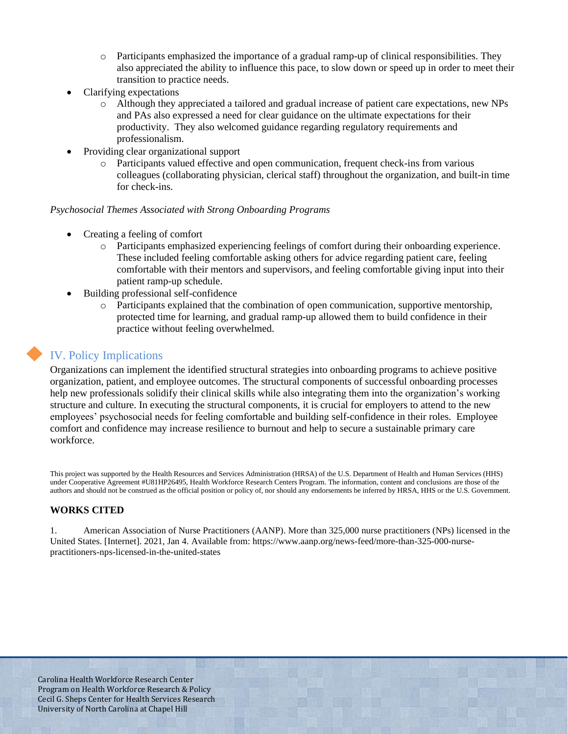- o Participants emphasized the importance of a gradual ramp-up of clinical responsibilities. They also appreciated the ability to influence this pace, to slow down or speed up in order to meet their transition to practice needs.
- Clarifying expectations
	- o Although they appreciated a tailored and gradual increase of patient care expectations, new NPs and PAs also expressed a need for clear guidance on the ultimate expectations for their productivity. They also welcomed guidance regarding regulatory requirements and professionalism.
- Providing clear organizational support
	- Participants valued effective and open communication, frequent check-ins from various colleagues (collaborating physician, clerical staff) throughout the organization, and built-in time for check-ins.

#### *Psychosocial Themes Associated with Strong Onboarding Programs*

- Creating a feeling of comfort
	- o Participants emphasized experiencing feelings of comfort during their onboarding experience. These included feeling comfortable asking others for advice regarding patient care, feeling comfortable with their mentors and supervisors, and feeling comfortable giving input into their patient ramp-up schedule.
- Building professional self-confidence
	- o Participants explained that the combination of open communication, supportive mentorship, protected time for learning, and gradual ramp-up allowed them to build confidence in their practice without feeling overwhelmed.

## IV. Policy Implications

Organizations can implement the identified structural strategies into onboarding programs to achieve positive organization, patient, and employee outcomes. The structural components of successful onboarding processes help new professionals solidify their clinical skills while also integrating them into the organization's working structure and culture. In executing the structural components, it is crucial for employers to attend to the new employees' psychosocial needs for feeling comfortable and building self-confidence in their roles. Employee comfort and confidence may increase resilience to burnout and help to secure a sustainable primary care workforce.

This project was supported by the Health Resources and Services Administration (HRSA) of the U.S. Department of Health and Human Services (HHS) under Cooperative Agreement #U81HP26495, Health Workforce Research Centers Program. The information, content and conclusions are those of the authors and should not be construed as the official position or policy of, nor should any endorsements be inferred by HRSA, HHS or the U.S. Government.

#### **WORKS CITED**

1. American Association of Nurse Practitioners (AANP). More than 325,000 nurse practitioners (NPs) licensed in the United States. [Internet]. 2021, Jan 4. Available from: [https://www.aanp.org/news-feed/more-than-325-000-nurse](https://www.aanp.org/news-feed/more-than-325-000-nurse-practitioners-nps-licensed-in-the-united-states)[practitioners-nps-licensed-in-the-united-states](https://www.aanp.org/news-feed/more-than-325-000-nurse-practitioners-nps-licensed-in-the-united-states)

Carolina Health Workforce Research Center Program on Health Workforce Research & Policy Cecil G. Sheps Center for Health Services Research University of North Carolina at Chapel Hill